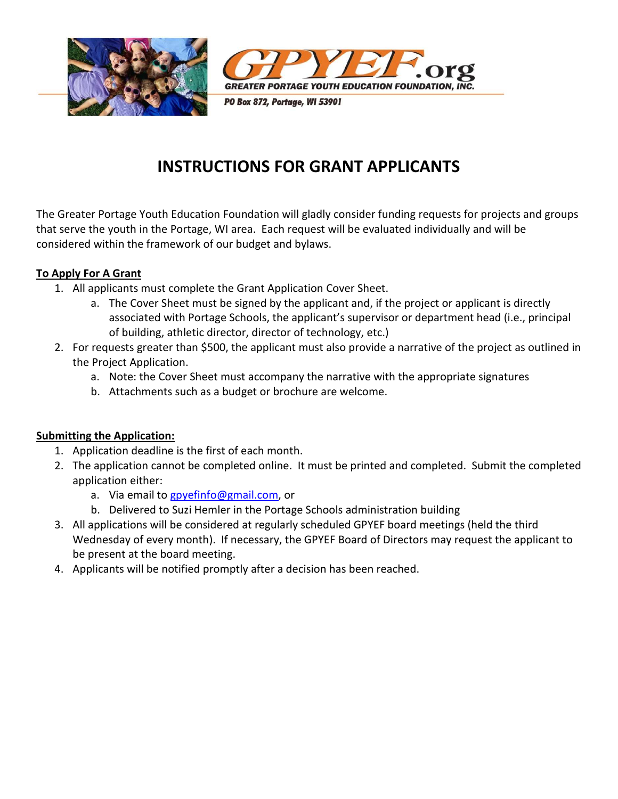



PO Box 872, Portage, WI 53901

# INSTRUCTIONS FOR GRANT APPLICANTS

The Greater Portage Youth Education Foundation will gladly consider funding requests for projects and groups that serve the youth in the Portage, WI area. Each request will be evaluated individually and will be considered within the framework of our budget and bylaws.

#### To Apply For A Grant

- 1. All applicants must complete the Grant Application Cover Sheet.
	- a. The Cover Sheet must be signed by the applicant and, if the project or applicant is directly associated with Portage Schools, the applicant's supervisor or department head (i.e., principal of building, athletic director, director of technology, etc.)
- 2. For requests greater than \$500, the applicant must also provide a narrative of the project as outlined in the Project Application.
	- a. Note: the Cover Sheet must accompany the narrative with the appropriate signatures
	- b. Attachments such as a budget or brochure are welcome.

### Submitting the Application:

- 1. Application deadline is the first of each month.
- 2. The application cannot be completed online. It must be printed and completed. Submit the completed application either:
	- a. Via email to gpyefinfo@gmail.com, or
	- b. Delivered to Suzi Hemler in the Portage Schools administration building
- 3. All applications will be considered at regularly scheduled GPYEF board meetings (held the third Wednesday of every month). If necessary, the GPYEF Board of Directors may request the applicant to be present at the board meeting.
- 4. Applicants will be notified promptly after a decision has been reached.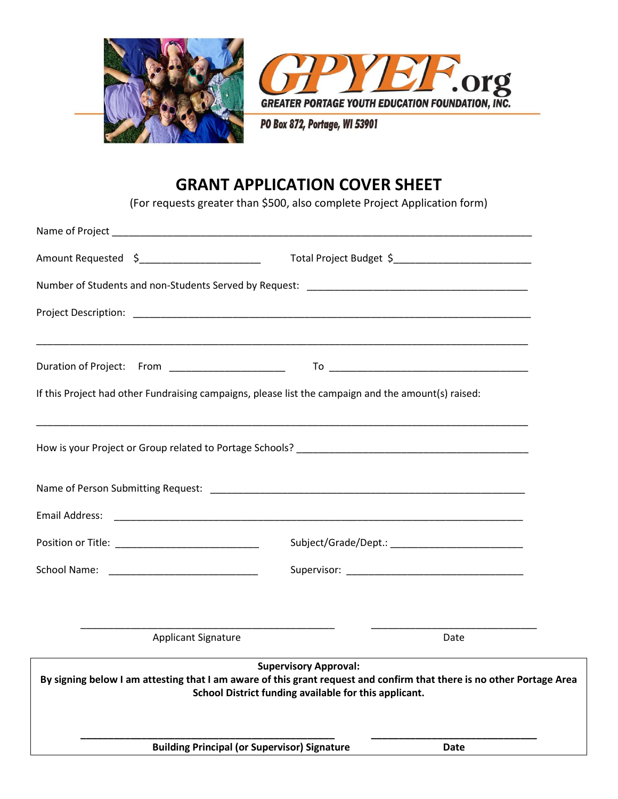



PO Box 872, Portage, WI 53901

### GRANT APPLICATION COVER SHEET

(For requests greater than \$500, also complete Project Application form)

|                                                                                                     | School District funding available for this applicant. |                                                                                                                       |  |
|-----------------------------------------------------------------------------------------------------|-------------------------------------------------------|-----------------------------------------------------------------------------------------------------------------------|--|
|                                                                                                     | <b>Supervisory Approval:</b>                          | By signing below I am attesting that I am aware of this grant request and confirm that there is no other Portage Area |  |
| <b>Applicant Signature</b>                                                                          |                                                       | Date                                                                                                                  |  |
|                                                                                                     |                                                       |                                                                                                                       |  |
|                                                                                                     |                                                       |                                                                                                                       |  |
|                                                                                                     |                                                       |                                                                                                                       |  |
|                                                                                                     |                                                       |                                                                                                                       |  |
|                                                                                                     |                                                       |                                                                                                                       |  |
| If this Project had other Fundraising campaigns, please list the campaign and the amount(s) raised: |                                                       |                                                                                                                       |  |
|                                                                                                     |                                                       |                                                                                                                       |  |
|                                                                                                     |                                                       |                                                                                                                       |  |
|                                                                                                     |                                                       |                                                                                                                       |  |
| Amount Requested \$__________________________                                                       |                                                       |                                                                                                                       |  |
|                                                                                                     |                                                       |                                                                                                                       |  |